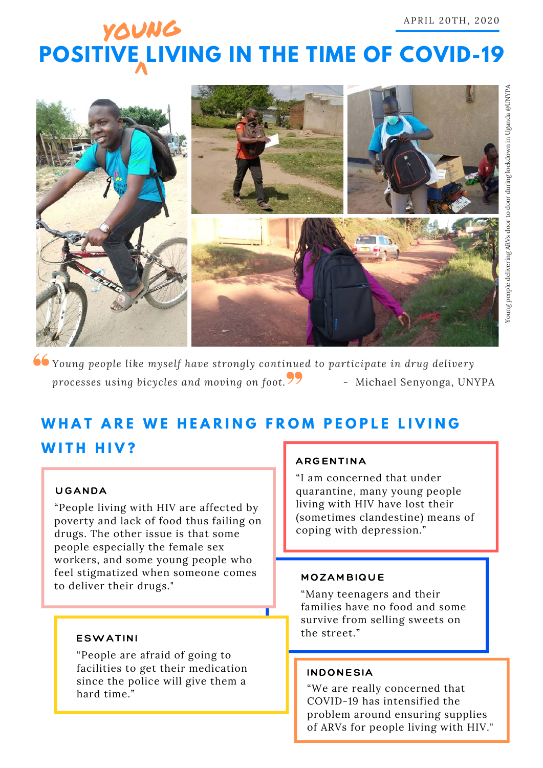# **POSITIVE LIVING IN THE TIME OF COVID-19** young



*Young people like myself have strongly continued to participate in drug delivery* processes using bicycles and moving on foot.<sup>77</sup> - Michael Senyonga, UNYPA

## WHAT ARE WE HEARING FROM PEOPLE LIVING **WITH HIV?**

#### **UGANDA**

"People living with HIV are affected by poverty and lack of food thus failing on drugs. The other issue is that some people especially the female sex workers, and some young people who feel stigmatized when someone comes to deliver their drugs."

#### **ESWATINI**

"People are afraid of going to facilities to get their medication since the police will give them a hard time."

#### **ARGENTINA**

"I am concerned that under quarantine, many young people living with HIV have lost their (sometimes clandestine) means of coping with depression."

#### **MOZAMBIQUE**

"Many teenagers and their families have no food and some survive from selling sweets on the street."

#### **INDONESIA**

"We are really concerned that COVID-19 has intensified the problem around ensuring supplies of ARVs for people living with HIV."